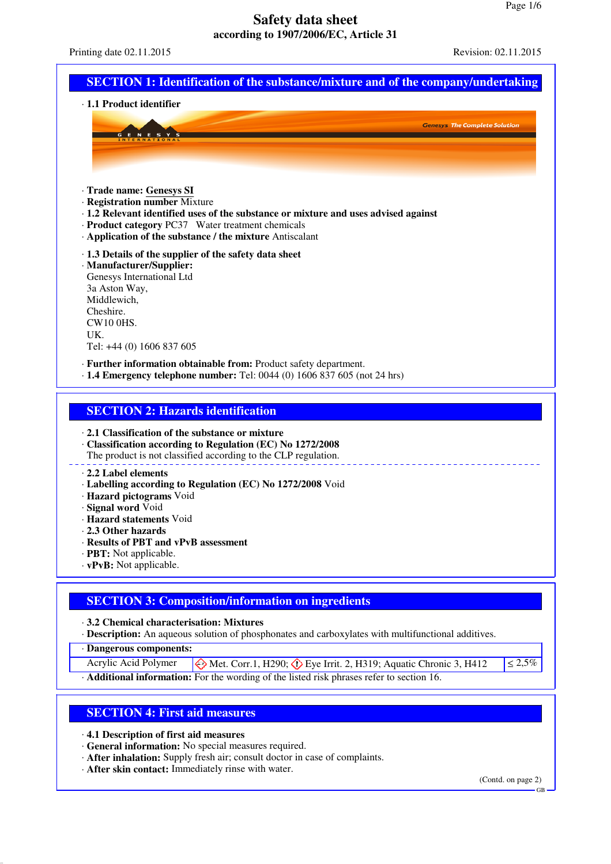Printing date 02.11.2015 Revision: 02.11.2015

|                                                                                                                                                                                                                               | <b>Genesys The Complete Solution</b> |
|-------------------------------------------------------------------------------------------------------------------------------------------------------------------------------------------------------------------------------|--------------------------------------|
|                                                                                                                                                                                                                               |                                      |
|                                                                                                                                                                                                                               |                                      |
| · Trade name: Genesys SI                                                                                                                                                                                                      |                                      |
| · Registration number Mixture                                                                                                                                                                                                 |                                      |
| · 1.2 Relevant identified uses of the substance or mixture and uses advised against<br>· Product category PC37 Water treatment chemicals                                                                                      |                                      |
| Application of the substance / the mixture Antiscalant                                                                                                                                                                        |                                      |
| · 1.3 Details of the supplier of the safety data sheet                                                                                                                                                                        |                                      |
| · Manufacturer/Supplier:                                                                                                                                                                                                      |                                      |
| Genesys International Ltd<br>3a Aston Way,                                                                                                                                                                                    |                                      |
| Middlewich,                                                                                                                                                                                                                   |                                      |
| Cheshire.                                                                                                                                                                                                                     |                                      |
| <b>CW10 0HS.</b><br>UK.                                                                                                                                                                                                       |                                      |
| Tel: +44 (0) 1606 837 605                                                                                                                                                                                                     |                                      |
| · Further information obtainable from: Product safety department.                                                                                                                                                             |                                      |
| $\cdot$ 1.4 Emergency telephone number: Tel: 0044 (0) 1606 837 605 (not 24 hrs)                                                                                                                                               |                                      |
|                                                                                                                                                                                                                               |                                      |
| <b>SECTION 2: Hazards identification</b>                                                                                                                                                                                      |                                      |
| 2.1 Classification of the substance or mixture                                                                                                                                                                                |                                      |
| Classification according to Regulation (EC) No 1272/2008                                                                                                                                                                      |                                      |
| The product is not classified according to the CLP regulation.                                                                                                                                                                |                                      |
| 2.2 Label elements                                                                                                                                                                                                            |                                      |
|                                                                                                                                                                                                                               |                                      |
|                                                                                                                                                                                                                               |                                      |
|                                                                                                                                                                                                                               |                                      |
|                                                                                                                                                                                                                               |                                      |
| · Labelling according to Regulation (EC) No 1272/2008 Void<br>· Hazard pictograms Void<br>· Signal word Void<br>· Hazard statements Void<br>2.3 Other hazards<br>Results of PBT and vPvB assessment<br>· PBT: Not applicable. |                                      |

· **3.2 Chemical characterisation: Mixtures**

· **Description:** An aqueous solution of phosphonates and carboxylates with multifunctional additives.

· **Dangerous components:**

Acrylic Acid Polymer  $\otimes$  Met. Corr.1, H290;  $\otimes$  Eye Irrit. 2, H319; Aquatic Chronic 3, H412  $\leq 2.5\%$ 

· **Additional information:** For the wording of the listed risk phrases refer to section 16.

### **SECTION 4: First aid measures**

· **4.1 Description of first aid measures**

- · **General information:** No special measures required.
- · **After inhalation:** Supply fresh air; consult doctor in case of complaints.

· **After skin contact:** Immediately rinse with water.

(Contd. on page 2)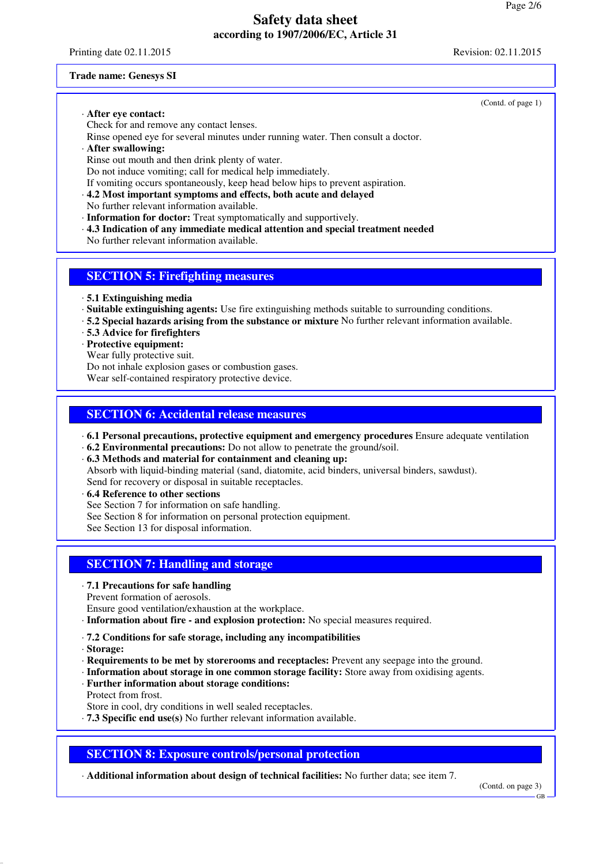Printing date 02.11.2015 Revision: 02.11.2015

#### **Trade name: Genesys SI**

· **After eye contact:**

Check for and remove any contact lenses.

Rinse opened eye for several minutes under running water. Then consult a doctor.

· **After swallowing:**

Rinse out mouth and then drink plenty of water.

Do not induce vomiting; call for medical help immediately.

If vomiting occurs spontaneously, keep head below hips to prevent aspiration.

- · **4.2 Most important symptoms and effects, both acute and delayed**
- No further relevant information available.
- · **Information for doctor:** Treat symptomatically and supportively.
- · **4.3 Indication of any immediate medical attention and special treatment needed**

No further relevant information available.

### **SECTION 5: Firefighting measures**

· **5.1 Extinguishing media**

· **Suitable extinguishing agents:** Use fire extinguishing methods suitable to surrounding conditions.

- · **5.2 Special hazards arising from the substance or mixture** No further relevant information available.
- · **5.3 Advice for firefighters**

· **Protective equipment:**

Wear fully protective suit.

Do not inhale explosion gases or combustion gases.

Wear self-contained respiratory protective device.

## **SECTION 6: Accidental release measures**

- · **6.1 Personal precautions, protective equipment and emergency procedures** Ensure adequate ventilation
- · **6.2 Environmental precautions:** Do not allow to penetrate the ground/soil.

· **6.3 Methods and material for containment and cleaning up:** Absorb with liquid-binding material (sand, diatomite, acid binders, universal binders, sawdust). Send for recovery or disposal in suitable receptacles.

- · **6.4 Reference to other sections**
- See Section 7 for information on safe handling.
- See Section 8 for information on personal protection equipment.

See Section 13 for disposal information.

## **SECTION 7: Handling and storage**

#### · **7.1 Precautions for safe handling**

Prevent formation of aerosols.

Ensure good ventilation/exhaustion at the workplace.

- · **Information about fire and explosion protection:** No special measures required.
- · **7.2 Conditions for safe storage, including any incompatibilities**
- · **Storage:**
- · **Requirements to be met by storerooms and receptacles:** Prevent any seepage into the ground.
- · **Information about storage in one common storage facility:** Store away from oxidising agents.
- · **Further information about storage conditions:** Protect from frost.
- Store in cool, dry conditions in well sealed receptacles.
- · **7.3 Specific end use(s)** No further relevant information available.

# **SECTION 8: Exposure controls/personal protection**

· **Additional information about design of technical facilities:** No further data; see item 7.

(Contd. on page 3)

(Contd. of page 1)

GB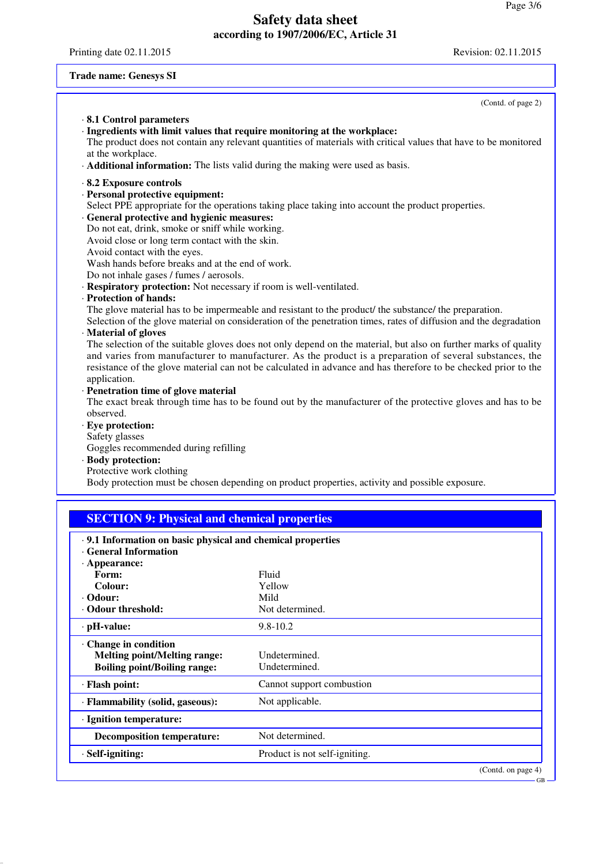Printing date 02.11.2015 Revision: 02.11.2015

# **Trade name: Genesys SI**

| $\cdot$ 8.1 Control parameters                                                                                                                                                                                                                                              |                                                                                                                   |  |
|-----------------------------------------------------------------------------------------------------------------------------------------------------------------------------------------------------------------------------------------------------------------------------|-------------------------------------------------------------------------------------------------------------------|--|
|                                                                                                                                                                                                                                                                             |                                                                                                                   |  |
| · Ingredients with limit values that require monitoring at the workplace:                                                                                                                                                                                                   |                                                                                                                   |  |
| at the workplace.                                                                                                                                                                                                                                                           | The product does not contain any relevant quantities of materials with critical values that have to be monitored  |  |
|                                                                                                                                                                                                                                                                             | Additional information: The lists valid during the making were used as basis.                                     |  |
| 8.2 Exposure controls                                                                                                                                                                                                                                                       |                                                                                                                   |  |
| · Personal protective equipment:                                                                                                                                                                                                                                            |                                                                                                                   |  |
|                                                                                                                                                                                                                                                                             | Select PPE appropriate for the operations taking place taking into account the product properties.                |  |
| · General protective and hygienic measures:                                                                                                                                                                                                                                 |                                                                                                                   |  |
| Do not eat, drink, smoke or sniff while working.<br>Avoid close or long term contact with the skin.                                                                                                                                                                         |                                                                                                                   |  |
| Avoid contact with the eyes.                                                                                                                                                                                                                                                |                                                                                                                   |  |
| Wash hands before breaks and at the end of work.                                                                                                                                                                                                                            |                                                                                                                   |  |
| Do not inhale gases / fumes / aerosols.                                                                                                                                                                                                                                     |                                                                                                                   |  |
| · Respiratory protection: Not necessary if room is well-ventilated.                                                                                                                                                                                                         |                                                                                                                   |  |
| · Protection of hands:                                                                                                                                                                                                                                                      | The glove material has to be impermeable and resistant to the product/ the substance/ the preparation.            |  |
|                                                                                                                                                                                                                                                                             | Selection of the glove material on consideration of the penetration times, rates of diffusion and the degradation |  |
| · Material of gloves                                                                                                                                                                                                                                                        |                                                                                                                   |  |
|                                                                                                                                                                                                                                                                             | The selection of the suitable gloves does not only depend on the material, but also on further marks of quality   |  |
| and varies from manufacturer to manufacturer. As the product is a preparation of several substances, the                                                                                                                                                                    |                                                                                                                   |  |
| resistance of the glove material can not be calculated in advance and has therefore to be checked prior to the<br>application.                                                                                                                                              |                                                                                                                   |  |
| · Penetration time of glove material                                                                                                                                                                                                                                        |                                                                                                                   |  |
|                                                                                                                                                                                                                                                                             |                                                                                                                   |  |
|                                                                                                                                                                                                                                                                             | The exact break through time has to be found out by the manufacturer of the protective gloves and has to be       |  |
| observed.                                                                                                                                                                                                                                                                   |                                                                                                                   |  |
| · Eye protection:                                                                                                                                                                                                                                                           |                                                                                                                   |  |
| Safety glasses                                                                                                                                                                                                                                                              |                                                                                                                   |  |
| Goggles recommended during refilling<br>· Body protection:                                                                                                                                                                                                                  |                                                                                                                   |  |
| Protective work clothing                                                                                                                                                                                                                                                    |                                                                                                                   |  |
|                                                                                                                                                                                                                                                                             | Body protection must be chosen depending on product properties, activity and possible exposure.                   |  |
|                                                                                                                                                                                                                                                                             |                                                                                                                   |  |
| <b>SECTION 9: Physical and chemical properties</b>                                                                                                                                                                                                                          |                                                                                                                   |  |
|                                                                                                                                                                                                                                                                             |                                                                                                                   |  |
|                                                                                                                                                                                                                                                                             |                                                                                                                   |  |
|                                                                                                                                                                                                                                                                             |                                                                                                                   |  |
| Form:                                                                                                                                                                                                                                                                       | Fluid                                                                                                             |  |
| Colour:                                                                                                                                                                                                                                                                     | Yellow                                                                                                            |  |
|                                                                                                                                                                                                                                                                             | Mild<br>Not determined.                                                                                           |  |
|                                                                                                                                                                                                                                                                             |                                                                                                                   |  |
|                                                                                                                                                                                                                                                                             | 9.8-10.2                                                                                                          |  |
|                                                                                                                                                                                                                                                                             | Undetermined.                                                                                                     |  |
| <b>Melting point/Melting range:</b><br><b>Boiling point/Boiling range:</b>                                                                                                                                                                                                  | Undetermined.                                                                                                     |  |
|                                                                                                                                                                                                                                                                             | Cannot support combustion                                                                                         |  |
|                                                                                                                                                                                                                                                                             | Not applicable.                                                                                                   |  |
| · 9.1 Information on basic physical and chemical properties<br><b>General Information</b><br>· Appearance:<br>$\cdot$ Odour:<br>· Odour threshold:<br>· pH-value:<br>· Change in condition<br>· Flash point:<br>· Flammability (solid, gaseous):<br>· Ignition temperature: |                                                                                                                   |  |
| <b>Decomposition temperature:</b>                                                                                                                                                                                                                                           | Not determined.                                                                                                   |  |
| · Self-igniting:                                                                                                                                                                                                                                                            | Product is not self-igniting.                                                                                     |  |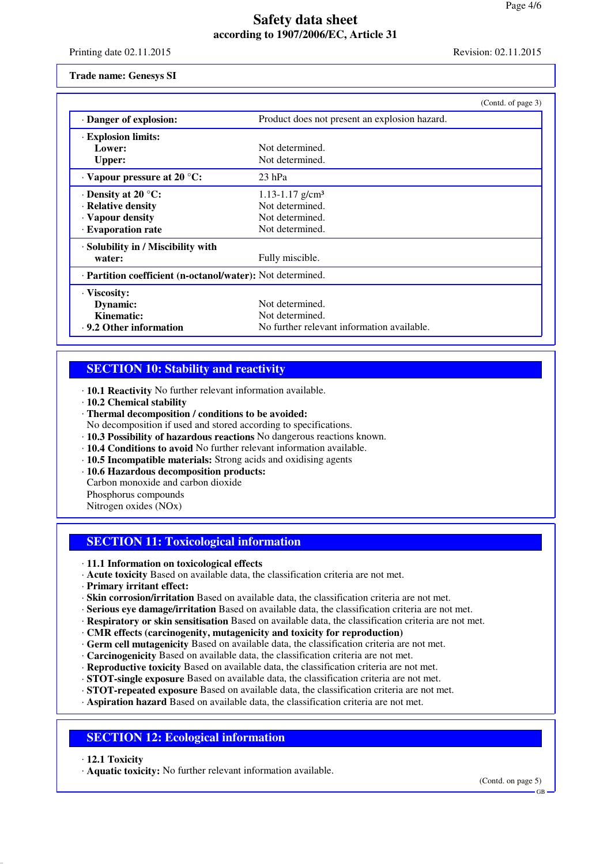Printing date 02.11.2015 Revision: 02.11.2015

**Trade name: Genesys SI**

|                                                            |                                               | (Contd. of page 3) |
|------------------------------------------------------------|-----------------------------------------------|--------------------|
| · Danger of explosion:                                     | Product does not present an explosion hazard. |                    |
| <b>Explosion limits:</b>                                   |                                               |                    |
| Lower:                                                     | Not determined.                               |                    |
| <b>Upper:</b>                                              | Not determined.                               |                    |
| $\cdot$ Vapour pressure at 20 °C:                          | $23$ hPa                                      |                    |
| $\cdot$ Density at 20 °C:                                  | $1.13 - 1.17$ g/cm <sup>3</sup>               |                    |
| · Relative density                                         | Not determined.                               |                    |
| · Vapour density                                           | Not determined.                               |                    |
| · Evaporation rate                                         | Not determined.                               |                    |
| $\cdot$ Solubility in / Miscibility with                   |                                               |                    |
| water:                                                     | Fully miscible.                               |                    |
| · Partition coefficient (n-octanol/water): Not determined. |                                               |                    |
| · Viscosity:                                               |                                               |                    |
| Dynamic:                                                   | Not determined.                               |                    |
| Kinematic:                                                 | Not determined.                               |                    |
| . 9.2 Other information                                    | No further relevant information available.    |                    |

## **SECTION 10: Stability and reactivity**

- · **10.1 Reactivity** No further relevant information available.
- · **10.2 Chemical stability**
- · **Thermal decomposition / conditions to be avoided:**
- No decomposition if used and stored according to specifications.
- · **10.3 Possibility of hazardous reactions** No dangerous reactions known.
- · **10.4 Conditions to avoid** No further relevant information available.
- · **10.5 Incompatible materials:** Strong acids and oxidising agents
- · **10.6 Hazardous decomposition products:** Carbon monoxide and carbon dioxide Phosphorus compounds Nitrogen oxides (NOx)

### **SECTION 11: Toxicological information**

- · **11.1 Information on toxicological effects**
- · **Acute toxicity** Based on available data, the classification criteria are not met.
- · **Primary irritant effect:**
- · **Skin corrosion/irritation** Based on available data, the classification criteria are not met.
- · **Serious eye damage/irritation** Based on available data, the classification criteria are not met.
- · **Respiratory or skin sensitisation** Based on available data, the classification criteria are not met.
- · **CMR effects (carcinogenity, mutagenicity and toxicity for reproduction)**
- · **Germ cell mutagenicity** Based on available data, the classification criteria are not met.
- · **Carcinogenicity** Based on available data, the classification criteria are not met.
- · **Reproductive toxicity** Based on available data, the classification criteria are not met.
- · **STOT-single exposure** Based on available data, the classification criteria are not met.
- · **STOT-repeated exposure** Based on available data, the classification criteria are not met.
- · **Aspiration hazard** Based on available data, the classification criteria are not met.

# **SECTION 12: Ecological information**

- · **12.1 Toxicity**
- · **Aquatic toxicity:** No further relevant information available.

(Contd. on page 5)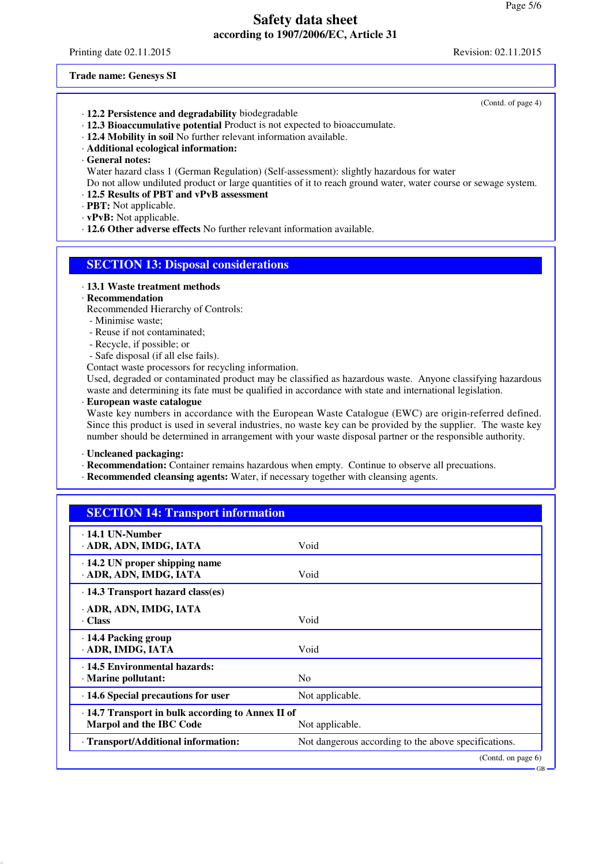Printing date 02.11.2015 Revision: 02.11.2015

#### **Trade name: Genesys SI**

- · **12.2 Persistence and degradability** biodegradable
- · **12.3 Bioaccumulative potential** Product is not expected to bioaccumulate.
- · **12.4 Mobility in soil** No further relevant information available.
- · **Additional ecological information:**
- · **General notes:**
- Water hazard class 1 (German Regulation) (Self-assessment): slightly hazardous for water
- Do not allow undiluted product or large quantities of it to reach ground water, water course or sewage system.
- · **12.5 Results of PBT and vPvB assessment**
- · **PBT:** Not applicable.
- · **vPvB:** Not applicable.
- · **12.6 Other adverse effects** No further relevant information available.

### **SECTION 13: Disposal considerations**

### · **13.1 Waste treatment methods**

· **Recommendation**

Recommended Hierarchy of Controls:

- Minimise waste;
- Reuse if not contaminated;
- Recycle, if possible; or
- Safe disposal (if all else fails).

Contact waste processors for recycling information.

Used, degraded or contaminated product may be classified as hazardous waste. Anyone classifying hazardous waste and determining its fate must be qualified in accordance with state and international legislation.

· **European waste catalogue**

Waste key numbers in accordance with the European Waste Catalogue (EWC) are origin-referred defined. Since this product is used in several industries, no waste key can be provided by the supplier. The waste key number should be determined in arrangement with your waste disposal partner or the responsible authority.

- · **Uncleaned packaging:**
- · **Recommendation:** Container remains hazardous when empty. Continue to observe all precuations.
- · **Recommended cleansing agents:** Water, if necessary together with cleansing agents.

| <b>SECTION 14: Transport information</b>                                                                     |                                                      |  |
|--------------------------------------------------------------------------------------------------------------|------------------------------------------------------|--|
| $\cdot$ 14.1 UN-Number<br>· ADR, ADN, IMDG, IATA                                                             | Void                                                 |  |
| $\cdot$ 14.2 UN proper shipping name<br>· ADR, ADN, IMDG, IATA                                               | Void                                                 |  |
| $\cdot$ 14.3 Transport hazard class(es)                                                                      |                                                      |  |
| · ADR, ADN, IMDG, IATA<br>· Class                                                                            | Void                                                 |  |
| $\cdot$ 14.4 Packing group<br>· ADR, IMDG, IATA                                                              | Void                                                 |  |
| · 14.5 Environmental hazards:<br>· Marine pollutant:                                                         | N <sub>o</sub>                                       |  |
| $\cdot$ 14.6 Special precautions for user                                                                    | Not applicable.                                      |  |
| $\cdot$ 14.7 Transport in bulk according to Annex II of<br><b>Marpol and the IBC Code</b><br>Not applicable. |                                                      |  |
| · Transport/Additional information:                                                                          | Not dangerous according to the above specifications. |  |
|                                                                                                              | (Contd. on page $6$ )                                |  |

(Contd. of page 4)